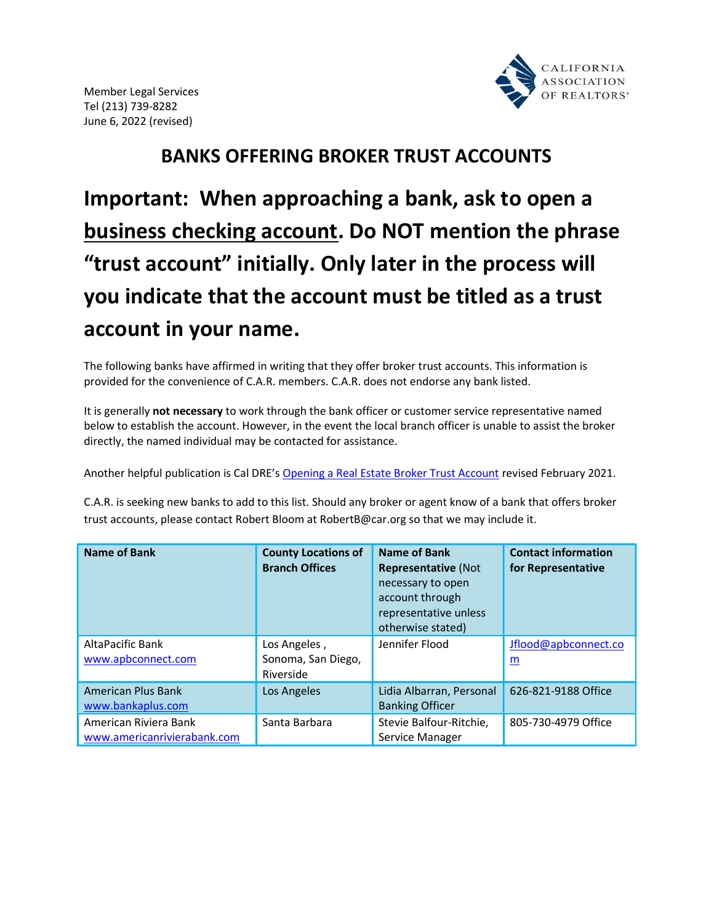

## BANKS OFFERING BROKER TRUST ACCOUNTS

Important: When approaching a bank, ask to open a business checking account. Do NOT mention the phrase "trust account" initially. Only later in the process will you indicate that the account must be titled as a trust account in your name.

The following banks have affirmed in writing that they offer broker trust accounts. This information is provided for the convenience of C.A.R. members. C.A.R. does not endorse any bank listed.

It is generally not necessary to work through the bank officer or customer service representative named below to establish the account. However, in the event the local branch officer is unable to assist the broker directly, the named individual may be contacted for assistance.

Another helpful publication is Cal DRE's Opening a Real Estate Broker Trust Account revised February 2021.

C.A.R. is seeking new banks to add to this list. Should any broker or agent know of a bank that offers broker trust accounts, please contact Robert Bloom at RobertB@car.org so that we may include it.

| <b>Name of Bank</b>                                  | <b>County Locations of</b><br><b>Branch Offices</b> | <b>Name of Bank</b><br><b>Representative (Not</b><br>necessary to open<br>account through<br>representative unless<br>otherwise stated) | <b>Contact information</b><br>for Representative |
|------------------------------------------------------|-----------------------------------------------------|-----------------------------------------------------------------------------------------------------------------------------------------|--------------------------------------------------|
| AltaPacific Bank<br>www.apbconnect.com               | Los Angeles,<br>Sonoma, San Diego,<br>Riverside     | Jennifer Flood                                                                                                                          | Jflood@apbconnect.co<br>m                        |
| <b>American Plus Bank</b><br>www.bankaplus.com       | Los Angeles                                         | Lidia Albarran, Personal<br><b>Banking Officer</b>                                                                                      | 626-821-9188 Office                              |
| American Riviera Bank<br>www.americanrivierabank.com | Santa Barbara                                       | Stevie Balfour-Ritchie,<br>Service Manager                                                                                              | 805-730-4979 Office                              |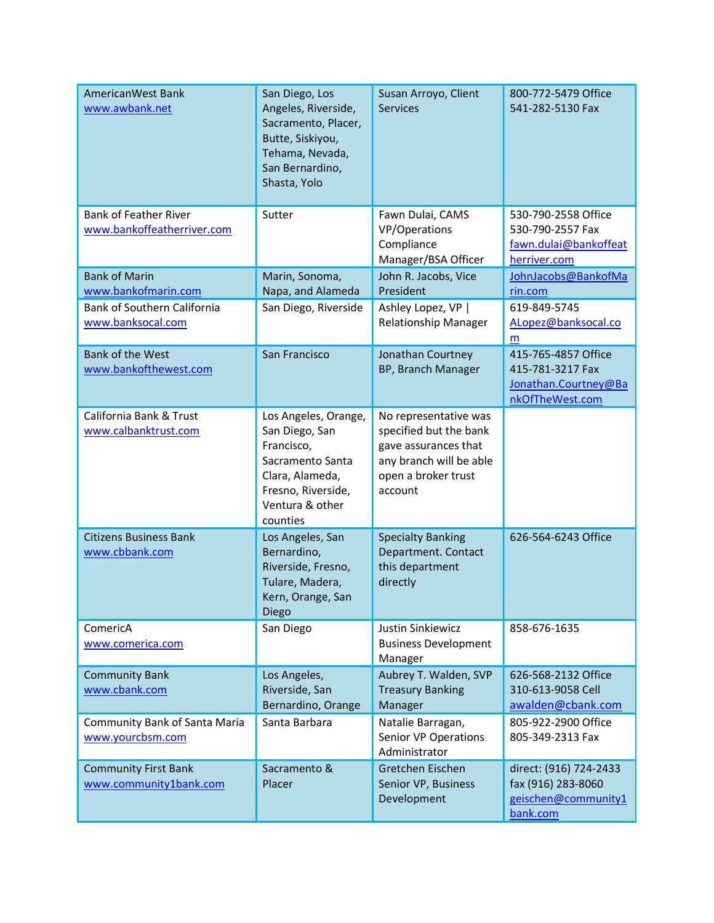| AmericanWest Bank<br>www.awbank.net                        | San Diego, Los<br>Angeles, Riverside,<br>Sacramento, Placer,<br>Butte, Siskiyou,<br>Tehama, Nevada,<br>San Bernardino,<br>Shasta, Yolo           | Susan Arroyo, Client<br><b>Services</b>                                                                                              | 800-772-5479 Office<br>541-282-5130 Fax                                            |
|------------------------------------------------------------|--------------------------------------------------------------------------------------------------------------------------------------------------|--------------------------------------------------------------------------------------------------------------------------------------|------------------------------------------------------------------------------------|
| <b>Bank of Feather River</b><br>www.bankoffeatherriver.com | Sutter                                                                                                                                           | Fawn Dulai, CAMS<br>VP/Operations<br>Compliance<br>Manager/BSA Officer                                                               | 530-790-2558 Office<br>530-790-2557 Fax<br>fawn.dulai@bankoffeat<br>herriver.com   |
| <b>Bank of Marin</b><br>www.bankofmarin.com                | Marin, Sonoma,<br>Napa, and Alameda                                                                                                              | John R. Jacobs, Vice<br>President                                                                                                    | JohnJacobs@BankofMa<br>rin.com                                                     |
| Bank of Southern California<br>www.banksocal.com           | San Diego, Riverside                                                                                                                             | Ashley Lopez, VP  <br><b>Relationship Manager</b>                                                                                    | 619-849-5745<br>ALopez@banksocal.co<br>m                                           |
| <b>Bank of the West</b><br>www.bankofthewest.com           | San Francisco                                                                                                                                    | Jonathan Courtney<br>BP, Branch Manager                                                                                              | 415-765-4857 Office<br>415-781-3217 Fax<br>Jonathan.Courtney@Ba<br>nkOfTheWest.com |
| California Bank & Trust<br>www.calbanktrust.com            | Los Angeles, Orange,<br>San Diego, San<br>Francisco,<br>Sacramento Santa<br>Clara, Alameda,<br>Fresno, Riverside,<br>Ventura & other<br>counties | No representative was<br>specified but the bank<br>gave assurances that<br>any branch will be able<br>open a broker trust<br>account |                                                                                    |
| <b>Citizens Business Bank</b><br>www.cbbank.com            | Los Angeles, San<br>Bernardino,<br>Riverside, Fresno,<br>Tulare, Madera,<br>Kern, Orange, San<br>Diego                                           | <b>Specialty Banking</b><br>Department. Contact<br>this department<br>directly                                                       | 626-564-6243 Office                                                                |
| ComericA<br>www.comerica.com                               | San Diego                                                                                                                                        | Justin Sinkiewicz<br><b>Business Development</b><br>Manager                                                                          | 858-676-1635                                                                       |
| <b>Community Bank</b><br>www.cbank.com                     | Los Angeles,<br>Riverside, San<br>Bernardino, Orange                                                                                             | Aubrey T. Walden, SVP<br><b>Treasury Banking</b><br>Manager                                                                          | 626-568-2132 Office<br>310-613-9058 Cell<br>awalden@cbank.com                      |
| Community Bank of Santa Maria<br>www.yourcbsm.com          | Santa Barbara                                                                                                                                    | Natalie Barragan,<br>Senior VP Operations<br>Administrator                                                                           | 805-922-2900 Office<br>805-349-2313 Fax                                            |
| <b>Community First Bank</b><br>www.community1bank.com      | Sacramento &<br>Placer                                                                                                                           | Gretchen Eischen<br>Senior VP, Business<br>Development                                                                               | direct: (916) 724-2433<br>fax (916) 283-8060<br>geischen@community1<br>bank.com    |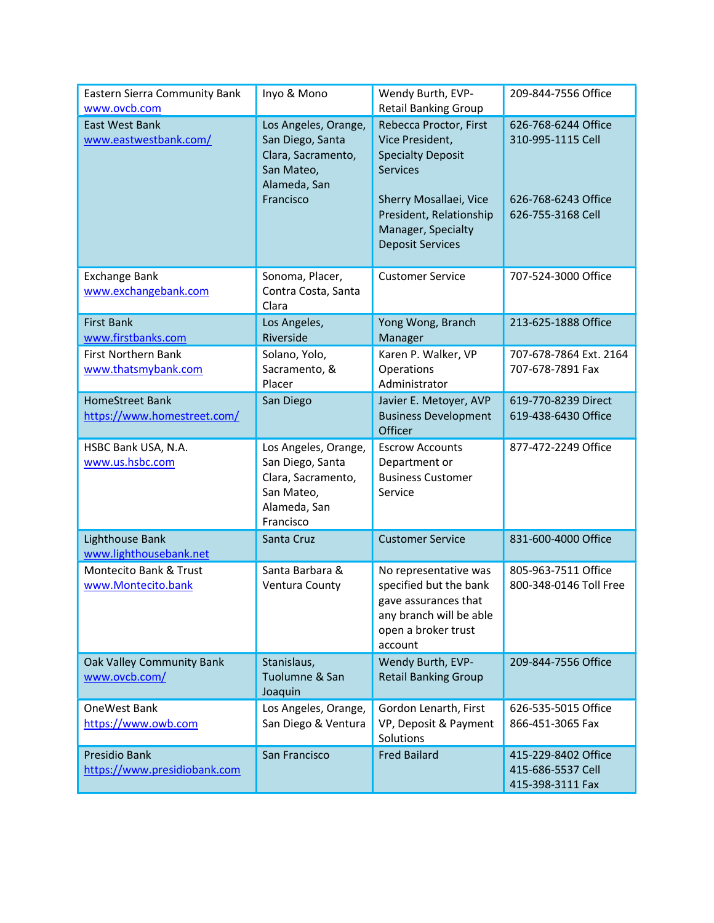| Eastern Sierra Community Bank<br>www.ovcb.com         | Inyo & Mono                                                                                               | Wendy Burth, EVP-<br><b>Retail Banking Group</b>                                                                                                                                               | 209-844-7556 Office                                                                  |
|-------------------------------------------------------|-----------------------------------------------------------------------------------------------------------|------------------------------------------------------------------------------------------------------------------------------------------------------------------------------------------------|--------------------------------------------------------------------------------------|
| <b>East West Bank</b><br>www.eastwestbank.com/        | Los Angeles, Orange,<br>San Diego, Santa<br>Clara, Sacramento,<br>San Mateo,<br>Alameda, San<br>Francisco | Rebecca Proctor, First<br>Vice President,<br><b>Specialty Deposit</b><br><b>Services</b><br>Sherry Mosallaei, Vice<br>President, Relationship<br>Manager, Specialty<br><b>Deposit Services</b> | 626-768-6244 Office<br>310-995-1115 Cell<br>626-768-6243 Office<br>626-755-3168 Cell |
| <b>Exchange Bank</b><br>www.exchangebank.com          | Sonoma, Placer,<br>Contra Costa, Santa<br>Clara                                                           | <b>Customer Service</b>                                                                                                                                                                        | 707-524-3000 Office                                                                  |
| <b>First Bank</b><br>www.firstbanks.com               | Los Angeles,<br>Riverside                                                                                 | Yong Wong, Branch<br>Manager                                                                                                                                                                   | 213-625-1888 Office                                                                  |
| <b>First Northern Bank</b><br>www.thatsmybank.com     | Solano, Yolo,<br>Sacramento, &<br>Placer                                                                  | Karen P. Walker, VP<br>Operations<br>Administrator                                                                                                                                             | 707-678-7864 Ext. 2164<br>707-678-7891 Fax                                           |
| <b>HomeStreet Bank</b><br>https://www.homestreet.com/ | San Diego                                                                                                 | Javier E. Metoyer, AVP<br><b>Business Development</b><br>Officer                                                                                                                               | 619-770-8239 Direct<br>619-438-6430 Office                                           |
| HSBC Bank USA, N.A.<br>www.us.hsbc.com                | Los Angeles, Orange,<br>San Diego, Santa<br>Clara, Sacramento,<br>San Mateo,<br>Alameda, San<br>Francisco | <b>Escrow Accounts</b><br>Department or<br><b>Business Customer</b><br>Service                                                                                                                 | 877-472-2249 Office                                                                  |
| Lighthouse Bank<br>www.lighthousebank.net             | Santa Cruz                                                                                                | <b>Customer Service</b>                                                                                                                                                                        | 831-600-4000 Office                                                                  |
| Montecito Bank & Trust<br>www.Montecito.bank          | Santa Barbara &<br>Ventura County                                                                         | No representative was<br>specified but the bank<br>gave assurances that<br>any branch will be able<br>open a broker trust<br>account                                                           | 805-963-7511 Office<br>800-348-0146 Toll Free                                        |
| Oak Valley Community Bank<br>www.ovcb.com/            | Stanislaus,<br>Tuolumne & San<br>Joaquin                                                                  | Wendy Burth, EVP-<br><b>Retail Banking Group</b>                                                                                                                                               | 209-844-7556 Office                                                                  |
| OneWest Bank<br>https://www.owb.com                   | Los Angeles, Orange,<br>San Diego & Ventura                                                               | Gordon Lenarth, First<br>VP, Deposit & Payment<br>Solutions                                                                                                                                    | 626-535-5015 Office<br>866-451-3065 Fax                                              |
| Presidio Bank<br>https://www.presidiobank.com         | San Francisco                                                                                             | <b>Fred Bailard</b>                                                                                                                                                                            | 415-229-8402 Office<br>415-686-5537 Cell<br>415-398-3111 Fax                         |